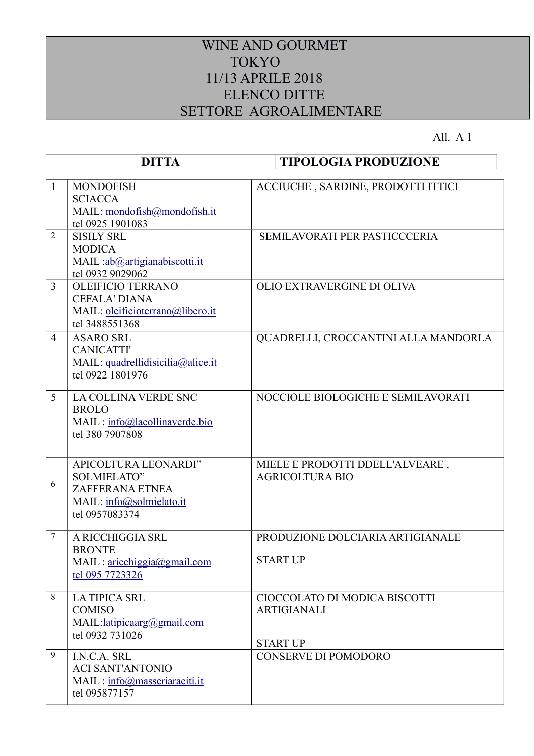## WINE AND GOURMET TOKYO 11/13 APRILE 2018 ELENCO DITTE SETTORE AGROALIMENTARE

All. A 1

|                | <b>DITTA</b>                                                                                                       | <b>TIPOLOGIA PRODUZIONE</b>                                            |
|----------------|--------------------------------------------------------------------------------------------------------------------|------------------------------------------------------------------------|
| $\mathbf{1}$   | <b>MONDOFISH</b><br><b>SCIACCA</b><br>MAIL: mondofish@mondofish.it<br>tel 0925 1901083                             | ACCIUCHE, SARDINE, PRODOTTI ITTICI                                     |
| 2              | <b>SISILY SRL</b><br><b>MODICA</b><br>MAIL : ab@artigianabiscotti.it<br>tel 0932 9029062                           | <b>SEMILAVORATI PER PASTICCCERIA</b>                                   |
| 3              | <b>OLEIFICIO TERRANO</b><br><b>CEFALA' DIANA</b><br>MAIL: oleificioterrano@libero.it<br>tel 3488551368             | OLIO EXTRAVERGINE DI OLIVA                                             |
| $\overline{4}$ | <b>ASARO SRL</b><br><b>CANICATTI'</b><br>MAIL: quadrellidisicilia@alice.it<br>tel 0922 1801976                     | QUADRELLI, CROCCANTINI ALLA MANDORLA                                   |
| 5              | <b>LA COLLINA VERDE SNC</b><br><b>BROLO</b><br>MAIL: info@lacollinaverde.bio<br>tel 380 7907808                    | NOCCIOLE BIOLOGICHE E SEMILAVORATI                                     |
| 6              | APICOLTURA LEONARDI"<br><b>SOLMIELATO"</b><br><b>ZAFFERANA ETNEA</b><br>MAIL: info@solmielato.it<br>tel 0957083374 | MIELE E PRODOTTI DDELL'ALVEARE,<br><b>AGRICOLTURA BIO</b>              |
| $\overline{7}$ | A RICCHIGGIA SRL<br><b>BRONTE</b><br>MAIL: <u>aricchiggia@gmail.com</u><br>tel 095 7723326                         | PRODUZIONE DOLCIARIA ARTIGIANALE<br><b>START UP</b>                    |
| 8              | <b>LA TIPICA SRL</b><br><b>COMISO</b><br>MAIL:latipicaarg@gmail.com<br>tel 0932 731026                             | CIOCCOLATO DI MODICA BISCOTTI<br><b>ARTIGIANALI</b><br><b>START UP</b> |
| 9              | I.N.C.A. SRL<br><b>ACI SANT'ANTONIO</b><br>MAIL: info@masseriaraciti.it<br>tel 095877157                           | <b>CONSERVE DI POMODORO</b>                                            |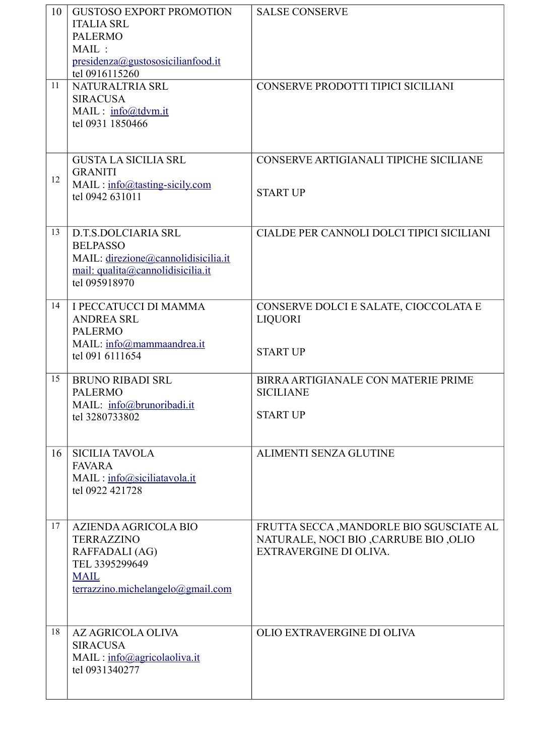| 10 | <b>GUSTOSO EXPORT PROMOTION</b><br><b>ITALIA SRL</b><br><b>PALERMO</b><br>$MAIL$ :<br>presidenza@gustososicilianfood.it<br>tel 0916115260 | <b>SALSE CONSERVE</b>                                                                                       |
|----|-------------------------------------------------------------------------------------------------------------------------------------------|-------------------------------------------------------------------------------------------------------------|
| 11 | NATURALTRIA SRL<br><b>SIRACUSA</b><br>MAIL: info@tdvm.it<br>tel 0931 1850466                                                              | CONSERVE PRODOTTI TIPICI SICILIANI                                                                          |
| 12 | <b>GUSTA LA SICILIA SRL</b><br><b>GRANITI</b><br>$MAIL: info@ tasting-sicily.com$<br>tel 0942 631011                                      | CONSERVE ARTIGIANALI TIPICHE SICILIANE<br><b>START UP</b>                                                   |
| 13 | D.T.S.DOLCIARIA SRL<br><b>BELPASSO</b><br>MAIL: direzione@cannolidisicilia.it<br>mail: qualita@cannolidisicilia.it<br>tel 095918970       | CIALDE PER CANNOLI DOLCI TIPICI SICILIANI                                                                   |
| 14 | <b>I PECCATUCCI DI MAMMA</b><br><b>ANDREA SRL</b><br><b>PALERMO</b><br>MAIL: info@mammaandrea.it<br>tel 091 6111654                       | CONSERVE DOLCI E SALATE, CIOCCOLATA E<br><b>LIQUORI</b><br><b>START UP</b>                                  |
| 15 | <b>BRUNO RIBADI SRL</b><br><b>PALERMO</b><br>MAIL: info@brunoribadi.it<br>tel 3280733802                                                  | BIRRA ARTIGIANALE CON MATERIE PRIME<br><b>SICILIANE</b><br><b>START UP</b>                                  |
| 16 | <b>SICILIA TAVOLA</b><br><b>FAVARA</b><br>MAIL: info@siciliatavola.it<br>tel 0922 421728                                                  | <b>ALIMENTI SENZA GLUTINE</b>                                                                               |
| 17 | AZIENDA AGRICOLA BIO<br><b>TERRAZZINO</b><br>RAFFADALI (AG)<br>TEL 3395299649<br><b>MAIL</b><br>terrazzino.michelangelo@gmail.com         | FRUTTA SECCA , MANDORLE BIO SGUSCIATE AL<br>NATURALE, NOCI BIO ,CARRUBE BIO ,OLIO<br>EXTRAVERGINE DI OLIVA. |
| 18 | <b>AZ AGRICOLA OLIVA</b><br><b>SIRACUSA</b><br>MAIL: info@agricolaoliva.it<br>tel 0931340277                                              | OLIO EXTRAVERGINE DI OLIVA                                                                                  |